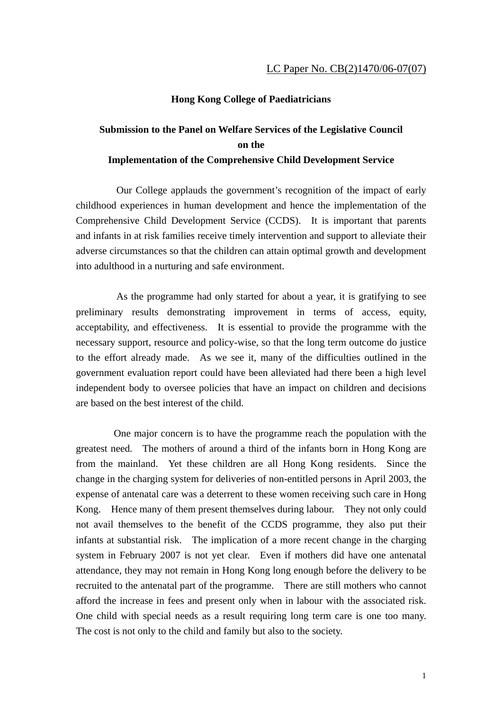## **Hong Kong College of Paediatricians**

## **Submission to the Panel on Welfare Services of the Legislative Council on the Implementation of the Comprehensive Child Development Service**

 Our College applauds the government's recognition of the impact of early childhood experiences in human development and hence the implementation of the Comprehensive Child Development Service (CCDS). It is important that parents and infants in at risk families receive timely intervention and support to alleviate their adverse circumstances so that the children can attain optimal growth and development into adulthood in a nurturing and safe environment.

 As the programme had only started for about a year, it is gratifying to see preliminary results demonstrating improvement in terms of access, equity, acceptability, and effectiveness. It is essential to provide the programme with the necessary support, resource and policy-wise, so that the long term outcome do justice to the effort already made. As we see it, many of the difficulties outlined in the government evaluation report could have been alleviated had there been a high level independent body to oversee policies that have an impact on children and decisions are based on the best interest of the child.

One major concern is to have the programme reach the population with the greatest need. The mothers of around a third of the infants born in Hong Kong are from the mainland. Yet these children are all Hong Kong residents. Since the change in the charging system for deliveries of non-entitled persons in April 2003, the expense of antenatal care was a deterrent to these women receiving such care in Hong Kong. Hence many of them present themselves during labour. They not only could not avail themselves to the benefit of the CCDS programme, they also put their infants at substantial risk. The implication of a more recent change in the charging system in February 2007 is not yet clear. Even if mothers did have one antenatal attendance, they may not remain in Hong Kong long enough before the delivery to be recruited to the antenatal part of the programme. There are still mothers who cannot afford the increase in fees and present only when in labour with the associated risk. One child with special needs as a result requiring long term care is one too many. The cost is not only to the child and family but also to the society.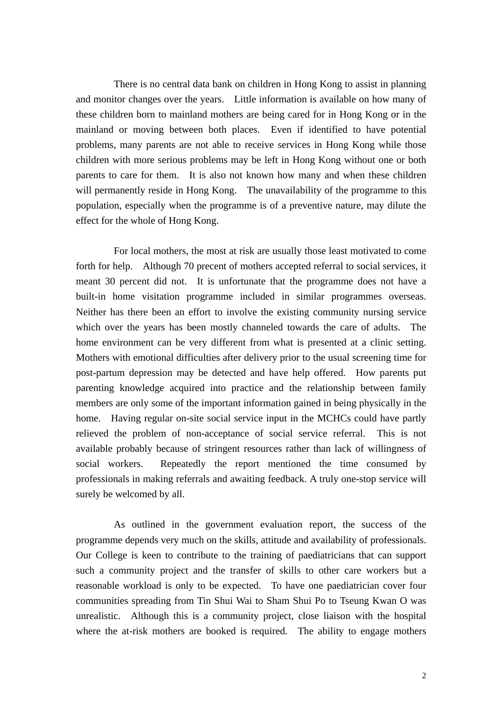There is no central data bank on children in Hong Kong to assist in planning and monitor changes over the years. Little information is available on how many of these children born to mainland mothers are being cared for in Hong Kong or in the mainland or moving between both places. Even if identified to have potential problems, many parents are not able to receive services in Hong Kong while those children with more serious problems may be left in Hong Kong without one or both parents to care for them. It is also not known how many and when these children will permanently reside in Hong Kong. The unavailability of the programme to this population, especially when the programme is of a preventive nature, may dilute the effect for the whole of Hong Kong.

For local mothers, the most at risk are usually those least motivated to come forth for help. Although 70 precent of mothers accepted referral to social services, it meant 30 percent did not. It is unfortunate that the programme does not have a built-in home visitation programme included in similar programmes overseas. Neither has there been an effort to involve the existing community nursing service which over the years has been mostly channeled towards the care of adults. The home environment can be very different from what is presented at a clinic setting. Mothers with emotional difficulties after delivery prior to the usual screening time for post-partum depression may be detected and have help offered. How parents put parenting knowledge acquired into practice and the relationship between family members are only some of the important information gained in being physically in the home. Having regular on-site social service input in the MCHCs could have partly relieved the problem of non-acceptance of social service referral. This is not available probably because of stringent resources rather than lack of willingness of social workers. Repeatedly the report mentioned the time consumed by professionals in making referrals and awaiting feedback. A truly one-stop service will surely be welcomed by all.

As outlined in the government evaluation report, the success of the programme depends very much on the skills, attitude and availability of professionals. Our College is keen to contribute to the training of paediatricians that can support such a community project and the transfer of skills to other care workers but a reasonable workload is only to be expected. To have one paediatrician cover four communities spreading from Tin Shui Wai to Sham Shui Po to Tseung Kwan O was unrealistic. Although this is a community project, close liaison with the hospital where the at-risk mothers are booked is required. The ability to engage mothers